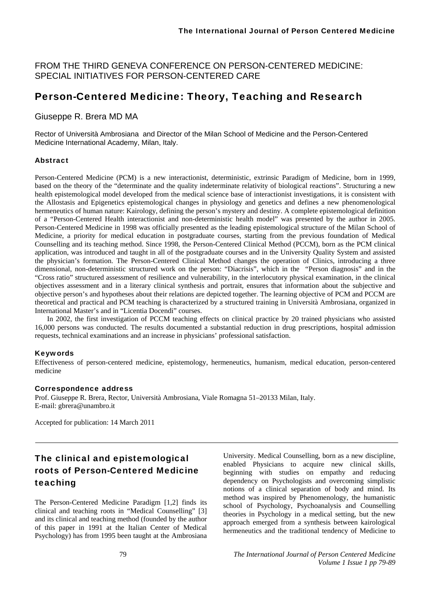FROM THE THIRD GENEVA CONFERENCE ON PERSON-CENTERED MEDICINE: SPECIAL INITIATIVES FOR PERSON-CENTERED CARE

## Person-Centered Medicine: Theory, Teaching and Research

## Giuseppe R. Brera MD MA

Rector of Università Ambrosiana and Director of the Milan School of Medicine and the Person-Centered Medicine International Academy, Milan, Italy.

### Abstract

Person-Centered Medicine (PCM) is a new interactionist, deterministic, extrinsic Paradigm of Medicine, born in 1999, based on the theory of the "determinate and the quality indeterminate relativity of biological reactions". Structuring a new health epistemological model developed from the medical science base of interactionist investigations, it is consistent with the Allostasis and Epigenetics epistemological changes in physiology and genetics and defines a new phenomenological hermeneutics of human nature: Kairology, defining the person's mystery and destiny. A complete epistemological definition of a "Person-Centered Health interactionist and non-deterministic health model" was presented by the author in 2005. Person-Centered Medicine in 1998 was officially presented as the leading epistemological structure of the Milan School of Medicine, a priority for medical education in postgraduate courses, starting from the previous foundation of Medical Counselling and its teaching method. Since 1998, the Person-Centered Clinical Method (PCCM), born as the PCM clinical application, was introduced and taught in all of the postgraduate courses and in the University Quality System and assisted the physician's formation. The Person-Centered Clinical Method changes the operation of Clinics, introducing a three dimensional, non-deterministic structured work on the person: "Diacrisis", which in the "Person diagnosis" and in the "Cross ratio" structured assessment of resilience and vulnerability, in the interlocutory physical examination, in the clinical objectives assessment and in a literary clinical synthesis and portrait, ensures that information about the subjective and objective person's and hypotheses about their relations are depicted together. The learning objective of PCM and PCCM are theoretical and practical and PCM teaching is characterized by a structured training in Università Ambrosiana, organized in International Master's and in "Licentia Docendi" courses.

In 2002, the first investigation of PCCM teaching effects on clinical practice by 20 trained physicians who assisted 16,000 persons was conducted. The results documented a substantial reduction in drug prescriptions, hospital admission requests, technical examinations and an increase in physicians' professional satisfaction.

## Keywords

Effectiveness of person-centered medicine, epistemology, hermeneutics, humanism, medical education, person-centered medicine

### Correspondence address

Prof. Giuseppe R. Brera, Rector, Università Ambrosiana, Viale Romagna 51–20133 Milan, Italy. E-mail: gbrera@unambro.it

Accepted for publication: 14 March 2011

# The clinical and epistemological roots of Person-Centered Medicine teaching

The Person-Centered Medicine Paradigm [1,2] finds its clinical and teaching roots in "Medical Counselling" [3] and its clinical and teaching method (founded by the author of this paper in 1991 at the Italian Center of Medical Psychology) has from 1995 been taught at the Ambrosiana University. Medical Counselling, born as a new discipline, enabled Physicians to acquire new clinical skills, beginning with studies on empathy and reducing dependency on Psychologists and overcoming simplistic notions of a clinical separation of body and mind. Its method was inspired by Phenomenology, the humanistic school of Psychology, Psychoanalysis and Counselling theories in Psychology in a medical setting, but the new approach emerged from a synthesis between kairological hermeneutics and the traditional tendency of Medicine to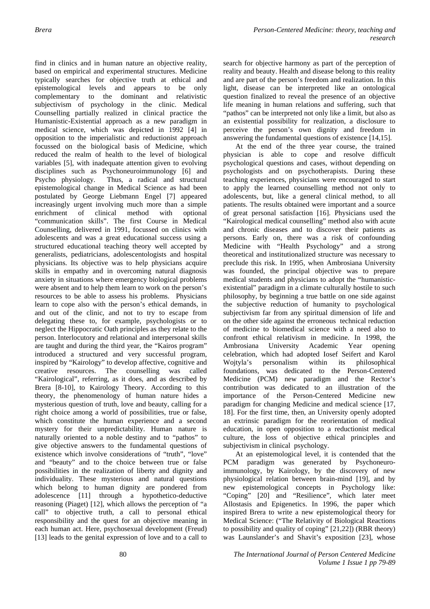find in clinics and in human nature an objective reality, based on empirical and experimental structures. Medicine typically searches for objective truth at ethical and epistemological levels and appears to be only complementary to the dominant and relativistic subjectivism of psychology in the clinic. Medical Counselling partially realized in clinical practice the Humanistic-Existential approach as a new paradigm in medical science, which was depicted in 1992 [4] in opposition to the imperialistic and reductionist approach focussed on the biological basis of Medicine, which reduced the realm of health to the level of biological variables [5], with inadequate attention given to evolving disciplines such as Psychoneuroimmunology [6] and Psycho physiology. Thus, a radical and structural epistemological change in Medical Science as had been postulated by George Liebmann Engel [7] appeared increasingly urgent involving much more than a simple enrichment of clinical method with optional "communication skills". The first Course in Medical Counselling, delivered in 1991, focussed on clinics with adolescents and was a great educational success using a structured educational teaching theory well accepted by generalists, pediatricians, adolescentologists and hospital physicians. Its objective was to help physicians acquire skills in empathy and in overcoming natural diagnosis anxiety in situations where emergency biological problems were absent and to help them learn to work on the person's resources to be able to assess his problems. Physicians learn to cope also with the person's ethical demands, in and out of the clinic, and not to try to escape from delegating these to, for example, psychologists or to neglect the Hippocratic Oath principles as they relate to the person. Interlocutory and relational and interpersonal skills are taught and during the third year, the "Kairos program" introduced a structured and very successful program, inspired by "Kairology" to develop affective, cognitive and creative resources. The counselling was called "Kairological", referring, as it does, and as described by Brera [8-10], to Kairology Theory. According to this theory, the phenomenology of human nature hides a mysterious question of truth, love and beauty, calling for a right choice among a world of possibilities, true or false, which constitute the human experience and a second mystery for their unpredictability. Human nature is naturally oriented to a noble destiny and to "pathos" to give objective answers to the fundamental questions of existence which involve considerations of "truth", "love" and "beauty" and to the choice between true or false possibilities in the realization of liberty and dignity and individuality. These mysterious and natural questions which belong to human dignity are pondered from adolescence [11] through a hypothetico-deductive reasoning (Piaget) [12], which allows the perception of "a call" to objective truth, a call to personal ethical responsibility and the quest for an objective meaning in each human act. Here, psychosexual development (Freud) [13] leads to the genital expression of love and to a call to

search for objective harmony as part of the perception of reality and beauty. Health and disease belong to this reality and are part of the person's freedom and realization. In this light, disease can be interpreted like an ontological question finalized to reveal the presence of an objective life meaning in human relations and suffering, such that "pathos" can be interpreted not only like a limit, but also as an existential possibility for realization, a disclosure to perceive the person's own dignity and freedom in answering the fundamental questions of existence [14,15].

At the end of the three year course, the trained physician is able to cope and resolve difficult psychological questions and cases, without depending on psychologists and on psychotherapists. During these teaching experiences, physicians were encouraged to start to apply the learned counselling method not only to adolescents, but, like a general clinical method, to all patients. The results obtained were important and a source of great personal satisfaction [16]. Physicians used the "Kairological medical counselling" method also with acute and chronic diseases and to discover their patients as persons. Early on, there was a risk of confounding Medicine with "Health Psychology" and a strong theoretical and institutionalized structure was necessary to preclude this risk. In 1995, when Ambrosiana University was founded, the principal objective was to prepare medical students and physicians to adopt the "humanisticexistential" paradigm in a climate culturally hostile to such philosophy, by beginning a true battle on one side against the subjective reduction of humanity to psychological subjectivism far from any spiritual dimension of life and on the other side against the erroneous technical reduction of medicine to biomedical science with a need also to confront ethical relativism in medicine. In 1998, the Ambrosiana University Academic Year opening celebration, which had adopted Iosef Seifert and Karol Wojtyla's personalism within its philosophical foundations, was dedicated to the Person-Centered Medicine (PCM) new paradigm and the Rector's contribution was dedicated to an illustration of the importance of the Person-Centered Medicine new paradigm for changing Medicine and medical science [17, 18]. For the first time, then, an University openly adopted an extrinsic paradigm for the reorientation of medical education, in open opposition to a reductionist medical culture, the loss of objective ethical principles and subjectivism in clinical psychology.

At an epistemological level, it is contended that the PCM paradigm was generated by Psychoneuroimmunology, by Kairology, by the discovery of new physiological relation between brain-mind [19], and by new epistemological concepts in Psychology like: "Coping" [20] and "Resilience", which later meet Allostasis and Epigenetics. In 1996, the paper which inspired Brera to write a new epistemological theory for Medical Science: ("The Relativity of Biological Reactions to possibility and quality of coping" [21,22]) (RBR theory) was Launslander's and Shavit's exposition [23], whose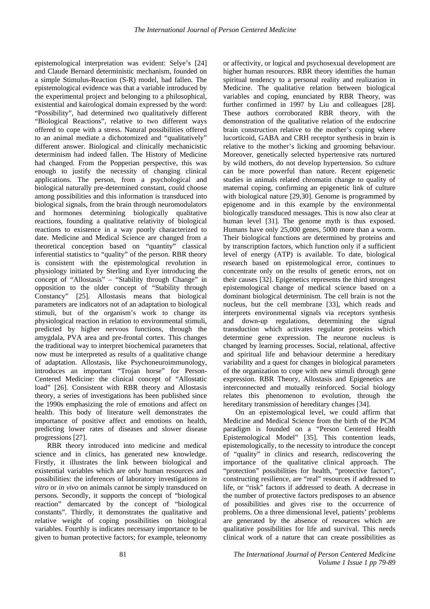epistemological interpretation was evident: Selye's [24] and Claude Bernard deterministic mechanism, founded on a simple Stimulus-Reaction (S-R) model, had fallen. The epistemological evidence was that a variable introduced by the experimental project and belonging to a philosophical, existential and kairological domain expressed by the word: "Possibility", had determined two qualitatively different "Biological Reactions", relative to two different ways offered to cope with a stress. Natural possibilities offered to an animal mediate a dichotomized and "qualitatively" different answer. Biological and clinically mechanicistic determinism had indeed fallen. The History of Medicine had changed. From the Popperian perspective, this was enough to justify the necessity of changing clinical applications. The person, from a psychological and biological naturally pre-determined constant, could choose among possibilities and this information is transduced into biological signals, from the brain through neuromodulators and hormones determining biologically qualitative reactions, founding a qualitative relativity of biological reactions to existence in a way poorly characterized to date. Medicine and Medical Science are changed from a theoretical conception based on "quantity" classical inferential statistics to "quality" of the person. RBR theory is consistent with the epistemological revolution in physiology initiated by Sterling and Eyer introducing the concept of "Allostasis" – "Stability through Change" in opposition to the older concept of "Stability through Constancy" [25]. Allostasis means that biological parameters are indicators not of an adaptation to biological stimuli, but of the organism's work to change its physiological reaction in relation to environmental stimuli, predicted by higher nervous functions, through the amygdala, PVA area and pre-frontal cortex. This changes the traditional way to interpret biochemical parameters that now must be interpreted as results of a qualitative change of adaptation. Allostasis, like Psychoneuroimmunology, introduces an important "Trojan horse" for Person-Centered Medicine: the clinical concept of "Allostatic load" [26]. Consistent with RBR theory and Allostasis theory, a series of investigations has been published since the 1990s emphasizing the role of emotions and affect on health. This body of literature well demonstrates the importance of positive affect and emotions on health, predicting lower rates of diseases and slower disease progressions [27].

RBR theory introduced into medicine and medical science and in clinics, has generated new knowledge. Firstly, it illustrates the link between biological and existential variables which are only human resources and possibilities: the inferences of laboratory investigations *in vitro* or *in vivo* on animals cannot be simply transduced on persons. Secondly, it supports the concept of "biological reaction" demarcated by the concept of "biological constants". Thirdly, it demonstrates the qualitative and relative weight of coping possibilities on biological variables. Fourthly is indicates necessary importance to be given to human protective factors; for example, teleonomy

or affectivity, or logical and psychosexual development are higher human resources. RBR theory identifies the human spiritual tendency to a personal reality and realization in Medicine. The qualitative relation between biological variables and coping, enunciated by RBR Theory, was further confirmed in 1997 by Liu and colleagues [28]. These authors corroborated RBR theory, with the demonstration of the qualitative relation of the endocrine brain construction relative to the mother's coping where lucorticoid, GABA and CRH receptor synthesis in brain is relative to the mother's licking and grooming behaviour. Moreover, genetically selected hypertensive rats nurtured by wild mothers, do not develop hypertension. So culture can be more powerful than nature. Recent epigenetic studies in animals related chromatin change to quality of maternal coping, confirming an epigenetic link of culture with biological nature [29,30]. Genome is programmed by epigenome and in this example by the environmental biologically transduced messages. This is now also clear at human level [31]. The genome myth is thus exposed. Humans have only 25,000 genes, 5000 more than a worm. Their biological functions are determined by proteins and by transcription factors, which function only if a sufficient level of energy (ATP) is available. To date, biological research based on epistemological error, continues to concentrate only on the results of genetic errors, not on their causes [32]. Epigenetics represents the third strongest epistemological change of medical science based on a dominant biological determinism. The cell brain is not the nucleus, but the cell membrane [33], which reads and interprets environmental signals via receptors synthesis and down-up regulations, determining the signal transduction which activates regulator proteins which determine gene expression. The neurone nucleus is changed by learning processes. Social, relational, affective and spiritual life and behaviour determine a hereditary variability and a quest for changes in biological parameters of the organization to cope with new stimuli through gene expression. RBR Theory, Allostasis and Epigenetics are interconnected and mutually reinforced. Social biology relates this phenomenon to evolution, through the hereditary transmission of hereditary changes [34].

On an epistemological level, we could affirm that Medicine and Medical Science from the birth of the PCM paradigm is founded on a "Person Centered Health Epistemological Model" [35]. This contention leads, epistemologically, to the necessity to introduce the concept of "quality" in clinics and research, rediscovering the importance of the qualitative clinical approach. The "protection" possibilities for health, "protective factors", constructing resilience, are "real" resources if addressed to life, or "risk" factors if addressed to death. A decrease in the number of protective factors predisposes to an absence of possibilities and gives rise to the occurrence of problems. On a three dimensional level, patients' problems are generated by the absence of resources which are qualitative possibilities for life and survival. This needs clinical work of a nature that can create possibilities as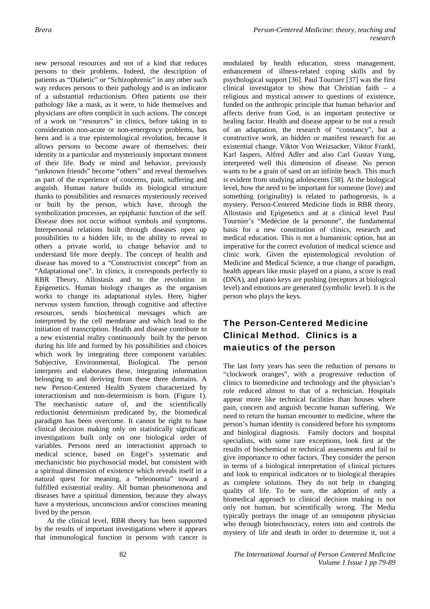new personal resources and not of a kind that reduces persons to their problems. Indeed, the description of patients as "Diabetic" or "Schizophrenic" in any other such way reduces persons to their pathology and is an indicator of a substantial reductionism. Often patients use their pathology like a mask, as it were, to hide themselves and physicians are often complicit in such actions. The concept of a work on "resources" in clinics, before taking in to consideration non-acute or non-emergency problems, has been and is a true epistemological revolution, because it allows persons to become aware of themselves: their identity in a particular and mysteriously important moment of their life. Body or mind and behavior, previously "unknown friends" become "others" and reveal themselves as part of the experience of concerns, pain, suffering and anguish. Human nature builds its biological structure thanks to possibilities and resources mysteriously received or built by the person, which have, through the symbolization processes, an epiphanic function of the self. Disease does not occur without symbols and symptoms. Interpersonal relations built through diseases open up possibilities to a hidden life, to the ability to reveal to others a private world, to change behavior and to understand life more deeply. The concept of health and disease has moved to a "Constructivist concept" from an "Adaptational one". In clinics, it corresponds perfectly to RBR Theory, Allostasis and to the revolution in Epigenetics. Human biology changes as the organism works to change its adaptational styles. Here, higher nervous system function, through cognitive and affective resources, sends biochemical messages which are interpreted by the cell membrane and which lead to the initiation of transcription. Health and disease contribute to a new existential reality continuously built by the person during his life and formed by his possibilities and choices which work by integrating three component variables: Subjective, Environmental, Biological. The person interprets and elaborates these, integrating information belonging to and deriving from these three domains. A new Person-Centered Health System characterized by interactionism and non-determinism is born. (Figure 1). The mechanistic nature of, and the scientifically reductionist determinism predicated by, the biomedical paradigm has been overcome. It cannot be right to base clinical decision making only on statistically significant investigations built only on one biological order of variables. Persons need an interactionist approach to medical science, based on Engel's systematic and mechanicistic bio psychosocial model, but consistent with a spiritual dimension of existence which reveals itself in a natural quest for meaning, a "teleonomia" toward a fulfilled existential reality. All human phenomenona and diseases have a spiritual dimension, because they always have a mysterious, unconscious and/or conscious meaning lived by the person.

At the clinical level, RBR theory has been supported by the results of important investigations where it appears that immunological function in persons with cancer is modulated by health education, stress management, enhancement of illness-related coping skills and by psychological support [36]. Paul Tournier [37] was the first clinical investigator to show that Christian faith – a religious and mystical answer to questions of existence, funded on the anthropic principle that human behavior and affects derive from God, is an important protective or healing factor. Health and disease appear to be not a result of an adaptation, the research of "constancy", but a constructive work, an hidden or manifest research for an existential change. Viktor Von Weizsacker, Viktor Frankl, Karl Iaspers, Alfred Adler and also Carl Gustav Yung, interpreted well this dimension of disease. No person wants to be a grain of sand on an infinite beach. This much is evident from studying adolescents [38]. At the biological level, how the need to be important for someone (love) and something (originality) is related to pathogenesis, is a mystery. Person-Centered Medicine finds in RBR theory, Allostasis and Epigenetics and at a clinical level Paul Tournier's "Medécine de la personne", the fundamental basis for a new constitution of clinics, research and medical education. This is not a humanistic option, but an imperative for the correct evolution of medical science and clinic work. Given the epistemological revolution of Medicine and Medical Science, a true change of paradigm, health appears like music played on a piano, a score is read (DNA), and piano keys are pushing (receptors at biological level) and emotions are generated (symbolic level). It is the person who plays the keys.

# The Person-Centered Medicine Clinical Method. Clinics is a maieutics of the person

The last forty years has seen the reduction of persons to "clockwork oranges", with a progressive reduction of clinics to biomedicine and technology and the physician's role reduced almost to that of a technician. Hospitals appear more like technical facilities than houses where pain, concern and anguish become human suffering. We need to return the human encounter to medicine, where the person's human identity is considered before his symptoms and biological diagnosis. Family doctors and hospital specialists, with some rare exceptions, look first at the results of biochemical or technical assessments and fail to give importance to other factors. They consider the person in terms of a biological interpretation of clinical pictures and look to empirical indicators or to biological therapies as complete solutions. They do not help in changing quality of life. To be sure, the adoption of only a biomedical approach to clinical decision making is not only not human, but scientifically wrong. The Media typically portrays the image of an omnipotent physician who through biotechnocracy, enters into and controls the mystery of life and death in order to determine it, not a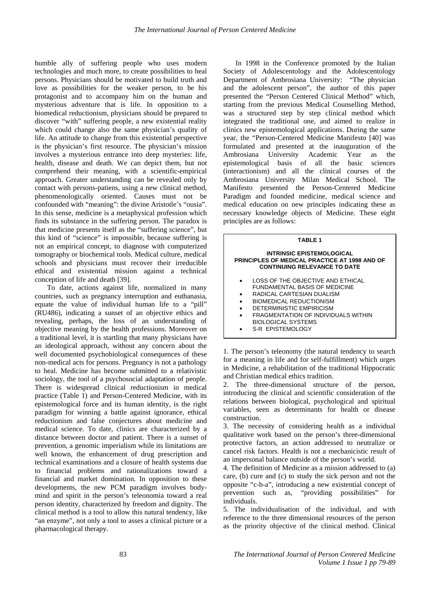humble ally of suffering people who uses modern technologies and much more, to create possibilities to heal persons. Physicians should be motivated to build truth and love as possibilities for the weaker person, to be his protagonist and to accompany him on the human and mysterious adventure that is life. In opposition to a biomedical reductionism, physicians should be prepared to discover "with" suffering people, a new existential reality which could change also the same physician's quality of life. An attitude to change from this existential perspective is the physician's first resource. The physician's mission involves a mysterious entrance into deep mysteries: life, health, disease and death. We can depict them, but not comprehend their meaning, with a scientific-empirical approach. Greater understanding can be revealed only by contact with persons-patiens, using a new clinical method, phenomenologically oriented. Causes must not be confounded with "meaning": the divine Aristotle's "ousia". In this sense, medicine is a metaphysical profession which finds its substance in the suffering person. The paradox is that medicine presents itself as the "suffering science", but this kind of "science" is impossible, because suffering is not an empirical concept, to diagnose with computerized tomography or biochemical tools. Medical culture, medical schools and physicians must recover their irreducible ethical and existential mission against a technical conception of life and death [39].

To date, actions against life, normalized in many countries, such as pregnancy interruption and euthanasia, equate the value of individual human life to a "pill" (RU486), indicating a sunset of an objective ethics and revealing, perhaps, the loss of an understanding of objective meaning by the health professions. Moreover on a traditional level, it is startling that many physicians have an ideological approach, without any concern about the well documented psychobiological consequences of these non-medical acts for persons. Pregnancy is not a pathology to heal. Medicine has become submitted to a relativistic sociology, the tool of a psychosocial adaptation of people. There is widespread clinical reductionism in medical practice (Table 1) and Person-Centered Medicine, with its epistemological force and its human identity, is the right paradigm for winning a battle against ignorance, ethical reductionism and false conjectures about medicine and medical science. To date, clinics are characterized by a distance between doctor and patient. There is a sunset of prevention, a genomic imperialism while its limitations are well known, the enhancement of drug prescription and technical examinations and a closure of health systems due to financial problems and rationalizations toward a financial and market domination. In opposition to these developments, the new PCM paradigm involves bodymind and spirit in the person's teleonomia toward a real person identity, characterized by freedom and dignity. The clinical method is a tool to allow this natural tendency, like "an enzyme", not only a tool to asses a clinical picture or a pharmacological therapy.

In 1998 in the Conference promoted by the Italian Society of Adolescentology and the Adolescentology Department of Ambrosiana University: "The physician and the adolescent person", the author of this paper presented the "Person Centered Clinical Method" which, starting from the previous Medical Counselling Method, was a structured step by step clinical method which integrated the traditional one, and aimed to realize in clinics new epistemological applications. During the same year, the "Person-Centered Medicine Manifesto [40] was formulated and presented at the inauguration of the Ambrosiana University Academic Year as the epistemological basis of all the basic sciences (interactionism) and all the clinical courses of the Ambrosiana University Milan Medical School. The Manifesto presented the Person-Centered Medicine Paradigm and founded medicine, medical science and medical education on new principles indicating these as necessary knowledge objects of Medicine. These eight principles are as follows:

#### **TABLE 1**

#### **INTRINSIC EPISTEMOLOGICAL PRINCIPLES OF MEDICAL PRACTICE AT 1998 AND OF CONTINUING RELEVANCE TO DATE**

- LOSS OF THE OBJECTIVE AND ETHICAL FUNDAMENTAL BASIS OF MEDICINE
- RADICAL CARTESIAN DUALISM
- BIOMEDICAL REDUCTIONISM
- DETERMINISTIC EMPIRICISM
- FRAGMENTATION OF INDIVIDUALS WITHIN BIOLOGICAL SYSTEMS
- S-R EPISTEMOLOGY

1. The person's teleonomy (the natural tendency to search for a meaning in life and for self-fulfillment) which urges in Medicine, a rehabilitation of the traditional Hippocratic and Christian medical ethics tradition.

2. The three-dimensional structure of the person, introducing the clinical and scientific consideration of the relations between biological, psychological and spiritual variables, seen as determinants for health or disease construction.

3. The necessity of considering health as a individual qualitative work based on the person's three-dimensional protective factors, an action addressed to neutralize or cancel risk factors. Health is not a mechanicistic result of an impersonal balance outside of the person's world.

4. The definition of Medicine as a mission addressed to (a) care, (b) cure and (c) to study the sick person and not the opposite "c-b-a", introducing a new existential concept of prevention such as, "providing possibilities" for individuals.

5. The individualisation of the individual, and with reference to the three dimensional resources of the person as the priority objective of the clinical method. Clinical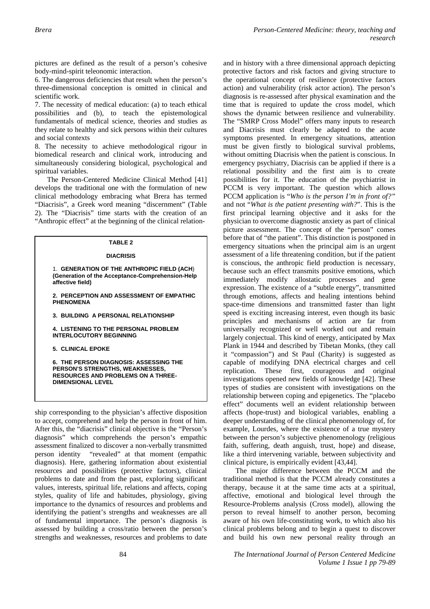pictures are defined as the result of a person's cohesive body-mind-spirit teleonomic interaction.

6. The dangerous deficiencies that result when the person's three-dimensional conception is omitted in clinical and scientific work.

7. The necessity of medical education: (a) to teach ethical possibilities and (b), to teach the epistemological fundamentals of medical science, theories and studies as they relate to healthy and sick persons within their cultures and social contexts

8. The necessity to achieve methodological rigour in biomedical research and clinical work, introducing and simultaneously considering biological, psychological and spiritual variables.

The Person-Centered Medicine Clinical Method [41] develops the traditional one with the formulation of new clinical methodology embracing what Brera has termed "Diacrisis", a Greek word meaning "discernment" (Table 2). The "Diacrisis" time starts with the creation of an "Anthropic effect" at the beginning of the clinical relation-

### **TABLE 2**

#### **DIACRISIS**

1. **GENERATION OF THE ANTHROPIC FIELD (ACH**) **(Generation of the Acceptance-Comprehension-Help affective field)** 

**2. PERCEPTION AND ASSESSMENT OF EMPATHIC PHENOMENA** 

**3. BUILDING A PERSONAL RELATIONSHIP** 

**4. LISTENING TO THE PERSONAL PROBLEM INTERLOCUTORY BEGINNING** 

**5. CLINICAL EPOKE** 

**6. THE PERSON DIAGNOSIS: ASSESSING THE PERSON'S STRENGTHS, WEAKNESSES, RESOURCES AND PROBLEMS ON A THREE-DIMENSIONAL LEVEL** 

ship corresponding to the physician's affective disposition to accept, comprehend and help the person in front of him. After this, the "diacrisis" clinical objective is the "Person's diagnosis" which comprehends the person's empathic assessment finalized to discover a non-verbally transmitted person identity "revealed" at that moment (empathic diagnosis). Here, gathering information about existential resources and possibilities (protective factors), clinical problems to date and from the past, exploring significant values, interests, spiritual life, relations and affects, coping styles, quality of life and habitudes, physiology, giving importance to the dynamics of resources and problems and identifying the patient's strengths and weaknesses are all of fundamental importance. The person's diagnosis is assessed by building a cross/ratio between the person's strengths and weaknesses, resources and problems to date

and in history with a three dimensional approach depicting protective factors and risk factors and giving structure to the operational concept of resilience (protective factors action) and vulnerability (risk actor action). The person's diagnosis is re-assessed after physical examination and the time that is required to update the cross model, which shows the dynamic between resilience and vulnerability. The "SMRP Cross Model" offers many inputs to research and Diacrisis must clearly be adapted to the acute symptoms presented. In emergency situations, attention must be given firstly to biological survival problems, without omitting Diacrisis when the patient is conscious. In emergency psychiatry, Diacrisis can be applied if there is a relational possibility and the first aim is to create possibilities for it. The education of the psychiatrist in PCCM is very important. The question which allows PCCM application is "*Who is the person I'm in front of?"* and not "*What is the patient presenting with?*". This is the first principal learning objective and it asks for the physician to overcome diagnostic anxiety as part of clinical picture assessment. The concept of the "person" comes before that of "the patient". This distinction is postponed in emergency situations when the principal aim is an urgent assessment of a life threatening condition, but if the patient is conscious, the anthropic field production is necessary, because such an effect transmits positive emotions, which immediately modify allostatic processes and gene expression. The existence of a "subtle energy", transmitted through emotions, affects and healing intentions behind space-time dimensions and transmitted faster than light speed is exciting increasing interest, even though its basic principles and mechanisms of action are far from universally recognized or well worked out and remain largely conjectual. This kind of energy, anticipated by Max Plank in 1944 and described by Tibetan Monks, (they call it "compassion") and St Paul (Charity) is suggested as capable of modifying DNA electrical charges and cell replication. These first, courageous and original investigations opened new fields of knowledge [42]. These types of studies are consistent with investigations on the relationship between coping and epigenetics. The "placebo effect" documents well an evident relationship between affects (hope-trust) and biological variables, enabling a deeper understanding of the clinical phenomenology of, for example, Lourdes, where the existence of a true mystery between the person's subjective phenomenology (religious faith, suffering, death anguish, trust, hope) and disease, like a third intervening variable, between subjectivity and clinical picture, is empirically evident [43,44].

The major difference between the PCCM and the traditional method is that the PCCM already constitutes a therapy, because it at the same time acts at a spiritual, affective, emotional and biological level through the Resource-Problems analysis (Cross model), allowing the person to reveal himself to another person, becoming aware of his own life-constituting work, to which also his clinical problems belong and to begin a quest to discover and build his own new personal reality through an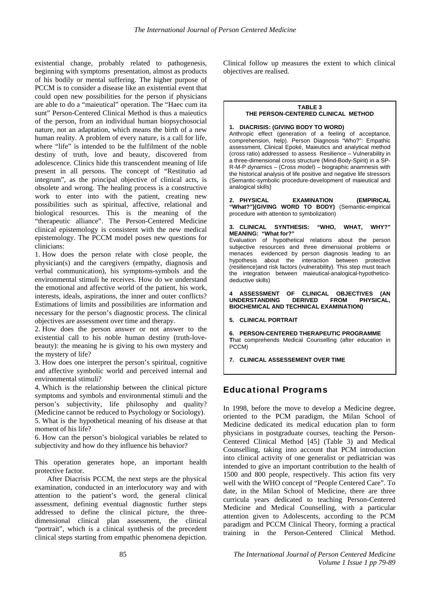existential change, probably related to pathogenesis, beginning with symptoms presentation, almost as products of his bodily or mental suffering. The higher purpose of PCCM is to consider a disease like an existential event that could open new possibilities for the person if physicians are able to do a "maieutical" operation. The "Haec cum ita sunt" Person-Centered Clinical Method is thus a maieutics of the person, from an individual human biopsychosocial nature, not an adaptation, which means the birth of a new human reality. A problem of every nature, is a call for life, where "life" is intended to be the fulfilment of the noble destiny of truth, love and beauty, discovered from adolescence. Clinics hide this transcendent meaning of life present in all persons. The concept of "Restitutio ad integrum", as the principal objective of clinical acts, is obsolete and wrong. The healing process is a constructive work to enter into with the patient, creating new possibilities such as spiritual, affective, relational and biological resources. This is the meaning of the "therapeutic alliance". The Person-Centered Medicine clinical epistemology is consistent with the new medical epistemology. The PCCM model poses new questions for clinicians:

1. How does the person relate with close people, the physician(s) and the caregivers (empathy, diagnosis and verbal communication), his symptoms-symbols and the environmental stimuli he receives. How do we understand the emotional and affective world of the patient, his work, interests, ideals, aspirations, the inner and outer conflicts? Estimations of limits and possibilities are information and necessary for the person's diagnostic process. The clinical objectives are assessment over time and therapy.

2. How does the person answer or not answer to the existential call to his noble human destiny (truth-lovebeauty): the meaning he is giving to his own mystery and the mystery of life?

3. How does one interpret the person's spiritual, cognitive and affective symbolic world and perceived internal and environmental stimuli?

4. Which is the relationship between the clinical picture symptoms and symbols and environmental stimuli and the person's subjectivity, life philosophy and quality? (Medicine cannot be reduced to Psychology or Sociology). 5. What is the hypothetical meaning of his disease at that moment of his life?

6. How can the person's biological variables be related to subjectivity and how do they influence his behavior?

This operation generates hope, an important health protective factor.

After Diacrisis PCCM, the next steps are the physical examination, conducted in an interlocutory way and with attention to the patient's word, the general clinical assessment, defining eventual diagnostic further steps addressed to define the clinical picture, the threedimensional clinical plan assessment, the clinical "portrait", which is a clinical synthesis of the precedent clinical steps starting from empathic phenomena depiction.

Clinical follow up measures the extent to which clinical objectives are realised.

### **TABLE 3 THE PERSON-CENTERED CLINICAL METHOD**

**1. DIACRISIS: (GIVING BODY TO WORD)** 

Anthropic effect (generation of a feeling of acceptance, comprehension, help). Person Diagnosis "Who?": Empathic assessment, Clinical Epoké, Maieutics and analytical method (cross ratio) addressed to assess Resilience – Vulnerability in a three-dimensional cross structure (Mind-Body-Spirit) in a SP-R-M-P dynamics – (Cross model) – biographic anamnesis with the historical analysis of life positive and negative life stressors (Semantic-symbolic procedure-development of maieutical and analogical skills)

**2. PHYSICAL EXAMINATION (EMPIRICAL "What?")(GIVING WORD TO BODY)** (Semantic-empirical procedure with attention to symbolization)

**3. CLINICAL SYNTHESIS: "WHO, WHAT, WHY?" MEANING: "What for?"** 

Evaluation of hypothetical relations about the person subjective resources and three dimensional problems or menaces evidenced by person diagnosis leading to an hypothesis about the interaction between protective interaction between protective (resilience)and risk factors (vulnerability). This step must teach the integration between maieutical-analogical-hypotheticodeductive skills)

**4 ASSESSMENT OF CLINICAL OBJECTIVES (AN UNDERSTANDING BIOCHEMICAL AND TECHNICAL EXAMINATION)** 

**5. CLINICAL PORTRAIT** 

**6. PERSON-CENTERED THERAPEUTIC PROGRAMME T**hat comprehends Medical Counselling (after education in PCCM)

**7. CLINICAL ASSESSEMENT OVER TIME** 

## Educational Programs

In 1998, before the move to develop a Medicine degree, oriented to the PCM paradigm, the Milan School of Medicine dedicated its medical education plan to form physicians in postgraduate courses, teaching the Person-Centered Clinical Method [45] (Table 3) and Medical Counselling, taking into account that PCM introduction into clinical activity of one generalist or pediatrician was intended to give an important contribution to the health of 1500 and 800 people, respectively. This action fits very well with the WHO concept of "People Centered Care". To date, in the Milan School of Medicine, there are three curricula years dedicated to teaching Person-Centered Medicine and Medical Counselling, with a particular attention given to Adolescents, according to the PCM paradigm and PCCM Clinical Theory, forming a practical training in the Person-Centered Clinical Method.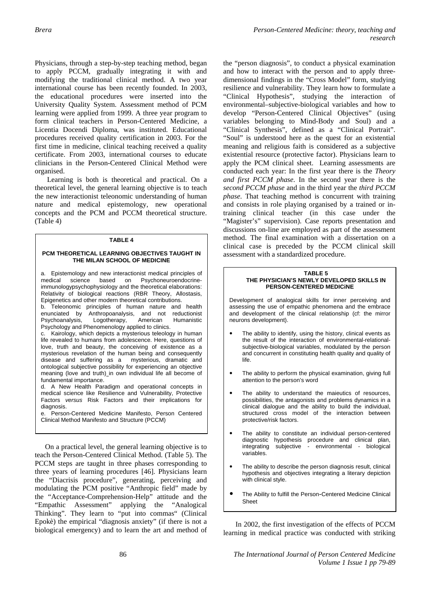Physicians, through a step-by-step teaching method, began to apply PCCM, gradually integrating it with and modifying the traditional clinical method. A two year international course has been recently founded. In 2003, the educational procedures were inserted into the University Quality System. Assessment method of PCM learning were applied from 1999. A three year program to form clinical teachers in Person-Centered Medicine, a Licentia Docendi Diploma, was instituted. Educational procedures received quality certification in 2003. For the first time in medicine, clinical teaching received a quality certificate. From 2003, international courses to educate clinicians in the Person-Centered Clinical Method were organised.

Learning is both is theoretical and practical. On a theoretical level, the general learning objective is to teach the new interactionist teleonomic understanding of human nature and medical epistemology, new operational concepts and the PCM and PCCM theoretical structure. (Table 4)

#### **TABLE 4**

#### **PCM THEORETICAL LEARNING OBJECTIVES TAUGHT IN THE MILAN SCHOOL OF MEDICINE**

a. Epistemology and new interactionist medical principles of medical science based on Psychoneuroendocrineimmunologypsychophysiology and the theoretical elaborations: Relativity of biological reactions (RBR Theory, Allostasis, Epigenetics and other modern theoretical contributions.

b. Teleonomic principles of human nature and health enunciated by Anthropoanalysis, and not reductionist Psychoanalysis, Logotherapy, American Humanistic Psychology and Phenomenology applied to clinics.

c. Kairology, which depicts a mysterious teleology in human life revealed to humans from adolescence. Here, questions of love, truth and beauty, the conceiving of existence as a mysterious revelation of the human being and consequently disease and suffering as a mysterious, dramatic and ontological subjective possibility for experiencing an objective meaning (love and truth) in own individual life all become of fundamental importance.

d. A New Health Paradigm and operational concepts in medical science like Resilience and Vulnerability, Protective Factors *versus* Risk Factors and their implications for diagnosis.

Person-Centered Medicine Manifesto, Person Centered Clinical Method Manifesto and Structure (PCCM)

On a practical level, the general learning objective is to teach the Person-Centered Clinical Method. (Table 5). The PCCM steps are taught in three phases corresponding to three years of learning procedures [46]. Physicians learn the "Diacrisis procedure", generating, perceiving and modulating the PCM positive "Anthropic field" made by the "Acceptance-Comprehension-Help" attitude and the "Empathic Assessment" applying the "Analogical Thinking". They learn to "put into commas" (Clinical Epokè) the empirical "diagnosis anxiety" (if there is not a biological emergency) and to learn the art and method of

the "person diagnosis", to conduct a physical examination and how to interact with the person and to apply threedimensional findings in the "Cross Model" form, studying resilience and vulnerability. They learn how to formulate a "Clinical Hypothesis", studying the interaction of environmental–subjective-biological variables and how to develop "Person-Centered Clinical Objectives" (using variables belonging to Mind-Body and Soul) and a "Clinical Synthesis", defined as a "Clinical Portrait". "Soul" is understood here as the quest for an existential meaning and religious faith is considered as a subjective existential resource (protective factor). Physicians learn to apply the PCM clinical sheet. Learning assessments are conducted each year: In the first year there is the *Theory and first PCCM phase*. In the second year there is the *second PCCM phase* and in the third year the *third PCCM phase*. That teaching method is concurrent with training and consists in role playing organised by a trained or intraining clinical teacher (in this case under the "Magister's" supervision). Case reports presentation and discussions on-line are employed as part of the assessment method. The final examination with a dissertation on a clinical case is preceded by the PCCM clinical skill assessment with a standardized procedure.

#### **TABLE 5 THE PHYSICIAN'S NEWLY DEVELOPED SKILLS IN PERSON-CENTERED MEDICiNE**

Development of analogical skills for inner perceiving and assessing the use of empathic phenomena and the embrace and development of the clinical relationship (cf: the mirror neurons development).

- The ability to identify, using the history, clinical events as the result of the interaction of environmental-relationalsubjective-biological variables, modulated by the person and concurrent in constituting health quality and quality of life.
- The ability to perform the physical examination, giving full attention to the person's word
- The ability to understand the maieutics of resources, possibilities, the antagonists and problems dynamics in a clinical dialogue and the ability to build the individual, structured cross model of the interaction between protective/risk factors.
- The ability to constitute an individual person-centered diagnostic hypothesis procedure and clinical plan, integrating subjective - environmental - biological variables.
- The ability to describe the person diagnosis result, clinical hypothesis and objectives integrating a literary depiction with clinical style.
- The Ability to fulfill the Person-Centered Medicine Clinical Sheet

In 2002, the first investigation of the effects of PCCM learning in medical practice was conducted with striking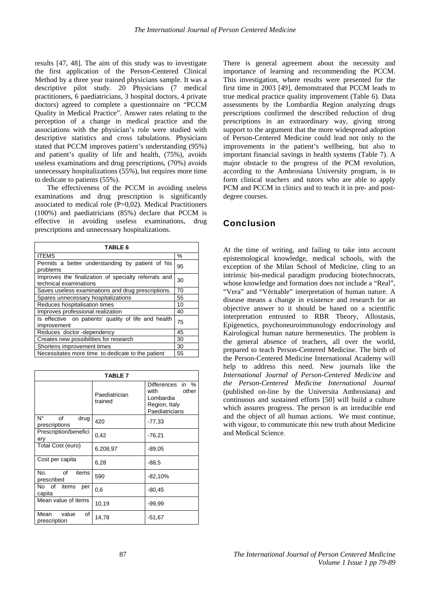results [47, 48]. The aim of this study was to investigate the first application of the Person-Centered Clinical Method by a three year trained physicians sample. It was a descriptive pilot study. 20 Physicians (7 medical practitioners, 6 paediatricians, 3 hospital doctors, 4 private doctors) agreed to complete a questionnaire on "PCCM Quality in Medical Practice". Answer rates relating to the perception of a change in medical practice and the associations with the physician's role were studied with descriptive statistics and cross tabulations. Physicians stated that PCCM improves patient's understanding (95%) and patient's quality of life and health, (75%), avoids useless examinations and drug prescriptions, (70%) avoids unnecessary hospitalizations (55%), but requires more time to dedicate to patients (55%).

The effectiveness of the PCCM in avoiding useless examinations and drug prescription is significantly associated to medical role  $(P=0.02)$ . Medical Practitioners (100%) and paediatricians (85%) declare that PCCM is effective in avoiding useless examinations, drug prescriptions and unnecessary hospitalizations.

| TABLE 6                                                                        |      |  |
|--------------------------------------------------------------------------------|------|--|
| <b>ITEMS</b>                                                                   | $\%$ |  |
| Permits a better understanding by patient of his<br>problems                   | 95   |  |
| Improves the finalization of specialty referrals and<br>technical examinations | 30   |  |
| Saves useless examinations and drug prescriptions.                             | 70   |  |
| Spares unnecessary hospitalizations                                            |      |  |
| Reduces hospitalisation times                                                  |      |  |
| Improves professional realization                                              |      |  |
| Is effective on patients' quality of life and health<br>improvement            |      |  |
| Reduces doctor-dependency                                                      | 45   |  |
| Creates new possibilities for research                                         | 30   |  |
| Shortens improvement times                                                     |      |  |
| Necessitates more time to dedicate to the patient                              | 55   |  |

| <b>TABLE 7</b>                      |                          |                                                                                            |
|-------------------------------------|--------------------------|--------------------------------------------------------------------------------------------|
|                                     | Paediatrician<br>trained | Differences<br>in<br>$\%$<br>other<br>with<br>Lombardia<br>Region, Italy<br>Paediatricians |
| Ν°<br>οf<br>drug<br>prescriptions   | 420                      | $-77,33$                                                                                   |
| Prescription/benefici<br>ary        | 0,42                     | $-76,21$                                                                                   |
| Total Cost (euro)                   | 6.208,97                 | $-89,05$                                                                                   |
| Cost per capita                     | 6,28                     | $-88.5$                                                                                    |
| of<br>No.<br>items<br>prescribed    | 590                      | $-82,10%$                                                                                  |
| No of items<br>per<br>capita        | 0,6                      | $-80,45$                                                                                   |
| Mean value of items                 | 10,19                    | $-99.99$                                                                                   |
| value<br>of<br>Mean<br>prescription | 14,78                    | $-51,67$                                                                                   |

There is general agreement about the necessity and importance of learning and recommending the PCCM. This investigation, where results were presented for the first time in 2003 [49], demonstrated that PCCM leads to true medical practice quality improvement (Table 6). Data assessments by the Lombardia Region analyzing drugs prescriptions confirmed the described reduction of drug prescriptions in an extraordinary way, giving strong support to the argument that the more widespread adoption of Person-Centered Medicine could lead not only to the improvements in the patient's wellbeing, but also to important financial savings in health systems (Table 7). A major obstacle to the progress of the PCM revolution, according to the Ambrosiana University program, is to form clinical teachers and tutors who are able to apply PCM and PCCM in clinics and to teach it in pre- and postdegree courses.

## Conclusion

At the time of writing, and failing to take into account epistemological knowledge, medical schools, with the exception of the Milan School of Medicine, cling to an intrinsic bio-medical paradigm producing biotechnocrats, whose knowledge and formation does not include a "Real", "Vera" and "Véritable" interpretation of human nature. A disease means a change in existence and research for an objective answer to it should be based on a scientific interpretation entrusted to RBR Theory, Allostasis, Epigenetics, psychoneuroimmunology endocrinology and Kairological human nature hermeneutics. The problem is the general absence of teachers, all over the world, prepared to teach Person-Centered Medicine. The birth of the Person-Centered Medicine International Academy will help to address this need. New journals like the *International Journal of Person-Centered Medicine* and *the Person-Centered Medicine International Journal*  (published on-line by the Universita Ambrosiana) and continuous and sustained efforts [50] will build a culture which assures progress. The person is an irreducible end and the object of all human actions. We must continue, with vigour, to communicate this new truth about Medicine and Medical Science.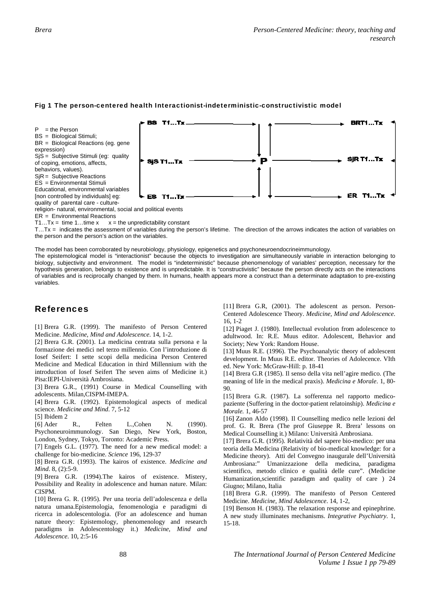

### Fig 1 The person-centered health Interactionist-indeterministic-constructivistic model

ER = Environmental Reactions

 $T1...Tx = time 1...time x$   $x =$ the unpredictab bility constant

T...Tx = indicates the assessment of variables during the person's lifetime. The direction of the arrows indicates the action of variables on the person and the person's action on the variables.

The model has been corroborated by neurobiology, physiology, epigenetics and psychoneuroendocrineimmunology.

The epistemological model is "interactionist" because the objects to investigation are simultaneously variable in interaction belonging to biology, subjectivity and environment. The model is "indeterministic" because phenomenology of variables' perception, necessary for the hypothesis generation, belongs to existence and is unpredictable. It is "constructivistic" because the person directly acts on the interactions of variables and is reciprocally changed by them. In humans, health appears more a construct than a determinate adaptation to pre-existing va ariables.

## R Referenc es

[1] Brera G.R. (1999). The manifesto of Person Centered M Medicine. *Medic cine, Mind and A Adolescence*. 1 4, 1-2.

[2] Brera G.R. (2001). La medicina centrata sulla persona e la formazione dei medici nel terzo millennio. Con l'introduzione di Iosef Seifert: I sette scopi della medicina Person Centered Medicine and Medical Education in third Millennium with the introduction of Iosef Seifert The seven aims of Medicine it.) Pisa: IEPI-Università Ambrosiana.

[3] Brera G.R., (1991) Course in Medical Counselling with ad dolescents. Mil an,CISPM-IME EPA.

[4] Brera G.R. (1992). Epistemological aspects of medical science. *Medicine and Mind*. 7, 5-12

[5 5] Ibidem 2

[6 6] Ader R. Psychoneuroimmunology. San Diego, New York, Boston, London, Sydney, Tokyo, Toronto: Academic Press. R., Felten L.,Cohen N. (1990).

[7] Engels G.L. (1977). The need for a new medical model: a challenge for bio-medicine. *Science* 196, 129-37

[8] Brera G.R. (1993). The kairos of existence. *Medicine and M Mind*. 8, (2):5-9.

[9] Brera G.R. (1994). The kairos of existence. Mistery, Possibility and Reality in adolescence and human nature. Milan: C CISPM.

[10] Brera G. R. (1995). Per una teoria dell'adolescenza e della natura umana. Epistemologia, fenomenologia e paradigmi di ricerca in adolescentologia. (For an adolescence and human nature theory: Epistemology, phenomenology and research paradigms in Adolescentology it.) Medicine, Mind and *A dolescence*. 10, , 2:5-16

[11] Brera G.R, (2001). The adolescent as person. Person-Centered Adolescence Theory. Medicine, Mind and Adolescence. 16, 1-2

[12] Piaget J. (1980). Intellectual evolution from adolescence to adultwood. In: R.E. Muus editor. Adolescent, Behavior and Society; New York: Random House.

[13] Muus R.E. (1996). The Psychoanalytic theory of adolescent development. In Muus R.E. editor. Theories of Adolecence. VIth ed. N New York: Mc Graw-Hill: p. 1 18-41

[14] Brera G.R (1985). Il senso della vita nell'agire medico. (The meaning of life in the medical praxis). *Medicina e Morale*. 1, 80- $90^{\circ}$ 

[15] Brera G.R. (1987). La sofferenza nel rapporto medicopaziente (Suffering in the doctor-patient relatoinship). *Medicina e Mor rale.* 1, 46-57

[16] Zanon Aldo (1998). Il Counselling medico nelle lezioni del prof. G. R. Brera (The prof Giuseppe R. Brera' lessons on Medical Counselling it.) Milano: Università Ambrosiana.

[17] Brera G.R. (1995). Relatività del sapere bio-medico: per una teoria della Medicina (Relativity of bio-medical knowledge: for a Medicine theory). Atti del Convegno inaugurale dell'Università Ambrosiana:" Umanizzazione della medicina, paradigma scientifico, metodo clinico e qualità delle cure". (Medicine Humanization, scientific paradigm and quality of care ) 24 Giugno; Milano, Italia

[18] Brera G.R. (1999). The manifesto of Person Centered Medicine. Medicine, Mind Adolescence. 14, 1-2,

[19] Benson H. (1983). The relaxation response and epinephrine. A new study illuminates mechanisms. *Integrative Psychiatry*. 1, 15-1 18.